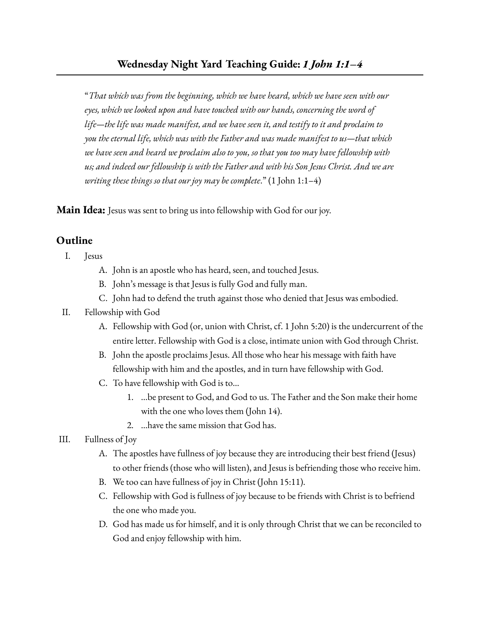"*That which was from the beginning, which we have heard, which we have seen with our eyes, which we looked upon and have touched with our hands, concerning the word of life—the life was made manifest, and we have seen it, and testify to it and proclaim to you the eternal life, which was with the Father and was made manifest to us—that which we have seen and heard we proclaim also to you, so that you too may have fellowship with us; and indeed our fellowship is with the Father and with his Son Jesus Christ. And we are writing these things so that our joy may be complete*." (1 John 1:1–4)

**Main Idea:** Jesus was sent to bring us into fellowship with God for our joy.

## **Outline**

- I. Jesus
	- A. John is an apostle who has heard, seen, and touched Jesus.
	- B. John's message is that Jesus is fully God and fully man.
	- C. John had to defend the truth against those who denied that Jesus was embodied.

## II. Fellowship with God

- A. Fellowship with God (or, union with Christ, cf. 1 John 5:20) is the undercurrent of the entire letter. Fellowship with God is a close, intimate union with God through Christ.
- B. John the apostle proclaims Jesus. All those who hear his message with faith have fellowship with him and the apostles, and in turn have fellowship with God.
- C. To have fellowship with God is to…
	- 1. ...be present to God, and God to us. The Father and the Son make their home with the one who loves them (John 14).
	- 2. ...have the same mission that God has.
- III. Fullness of Joy
	- A. The apostles have fullness of joy because they are introducing their best friend (Jesus) to other friends (those who will listen), and Jesus is befriending those who receive him.
	- B. We too can have fullness of joy in Christ (John 15:11).
	- C. Fellowship with God is fullness of joy because to be friends with Christ is to befriend the one who made you.
	- D. God has made us for himself, and it is only through Christ that we can be reconciled to God and enjoy fellowship with him.